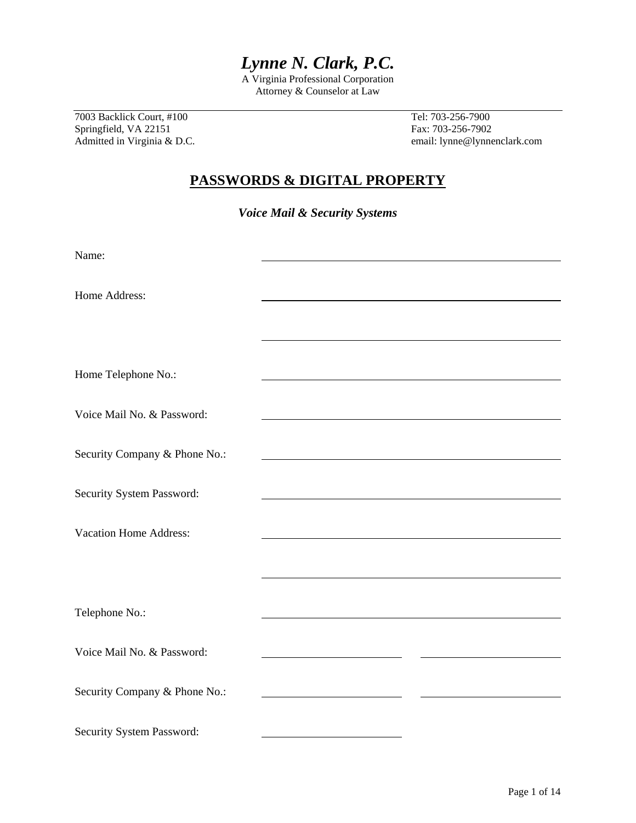# *Lynne N. Clark, P.C.*

A Virginia Professional Corporation Attorney & Counselor at Law

7003 Backlick Court, #100 Tel: 703-256-7900 Springfield, VA 22151 Fax: 703-256-7902

Admitted in Virginia & D.C. **Example 20** and the email: lynne@lynnenclark.com

### **PASSWORDS & DIGITAL PROPERTY**

*Voice Mail & Security Systems* 

| Name:                         |  |
|-------------------------------|--|
| Home Address:                 |  |
|                               |  |
|                               |  |
| Home Telephone No.:           |  |
| Voice Mail No. & Password:    |  |
| Security Company & Phone No.: |  |
| Security System Password:     |  |
|                               |  |
| <b>Vacation Home Address:</b> |  |
|                               |  |
| Telephone No.:                |  |
| Voice Mail No. & Password:    |  |
|                               |  |
| Security Company & Phone No.: |  |
| Security System Password:     |  |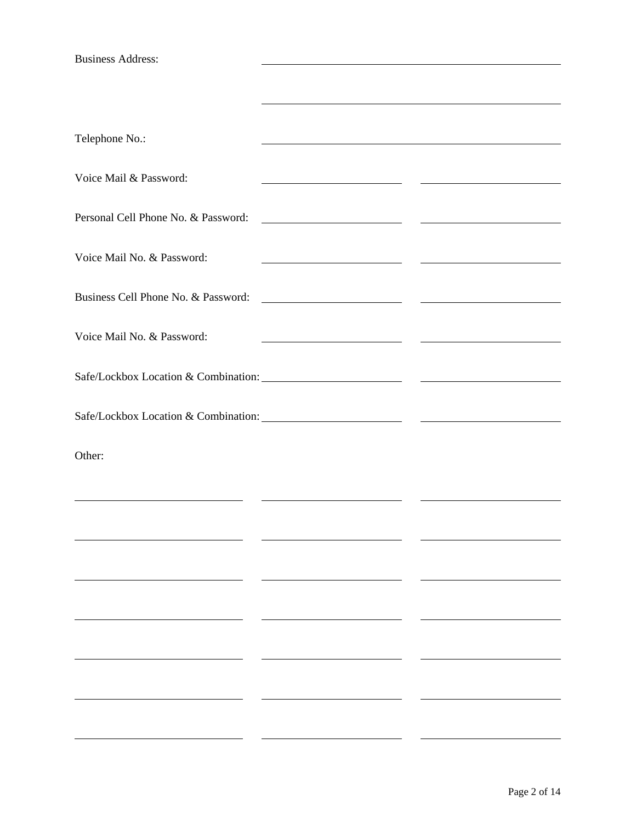Business Address:

| Telephone No.:                      |                                                                                                                       |  |
|-------------------------------------|-----------------------------------------------------------------------------------------------------------------------|--|
| Voice Mail & Password:              |                                                                                                                       |  |
| Personal Cell Phone No. & Password: |                                                                                                                       |  |
| Voice Mail No. & Password:          |                                                                                                                       |  |
| Business Cell Phone No. & Password: | <u> Alexandria de la contexta de la contexta de la contexta de la contexta de la contexta de la contexta de la co</u> |  |
| Voice Mail No. & Password:          | <u> 1989 - Johann Stone, fransk politiker (d. 1989)</u>                                                               |  |
|                                     |                                                                                                                       |  |
|                                     |                                                                                                                       |  |
| Other:                              |                                                                                                                       |  |
|                                     |                                                                                                                       |  |
|                                     |                                                                                                                       |  |
|                                     |                                                                                                                       |  |
|                                     |                                                                                                                       |  |
|                                     |                                                                                                                       |  |
|                                     |                                                                                                                       |  |
|                                     |                                                                                                                       |  |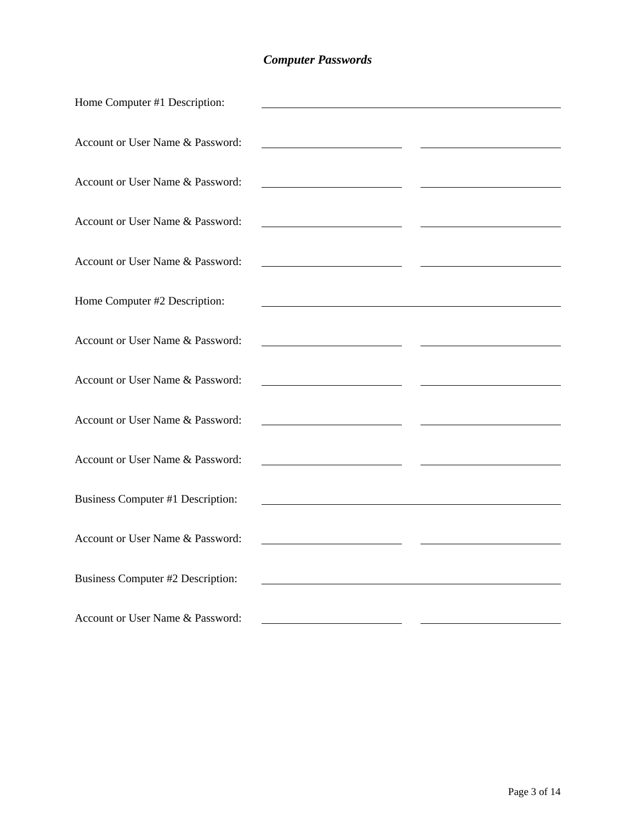## *Computer Passwords*

| Home Computer #1 Description:     |                                                                                                                       |  |
|-----------------------------------|-----------------------------------------------------------------------------------------------------------------------|--|
|                                   |                                                                                                                       |  |
| Account or User Name & Password:  |                                                                                                                       |  |
| Account or User Name & Password:  |                                                                                                                       |  |
| Account or User Name & Password:  |                                                                                                                       |  |
|                                   | <u> 1989 - Johann Barn, amerikansk politiker (</u>                                                                    |  |
| Account or User Name & Password:  |                                                                                                                       |  |
| Home Computer #2 Description:     | <u> 1980 - Johann Stoff, deutscher Stoffen und der Stoffen und der Stoffen und der Stoffen und der Stoffen und de</u> |  |
|                                   |                                                                                                                       |  |
| Account or User Name & Password:  |                                                                                                                       |  |
| Account or User Name & Password:  | <u> 1989 - Johann Barbara, martin a</u>                                                                               |  |
| Account or User Name & Password:  | <u> 1989 - Johann Barnett, fransk politiker (</u>                                                                     |  |
|                                   |                                                                                                                       |  |
| Account or User Name & Password:  |                                                                                                                       |  |
| Business Computer #1 Description: |                                                                                                                       |  |
| Account or User Name & Password:  |                                                                                                                       |  |
|                                   | <u> 1989 - Johann Barbara, martin a</u>                                                                               |  |
| Business Computer #2 Description: |                                                                                                                       |  |
| Account or User Name & Password:  |                                                                                                                       |  |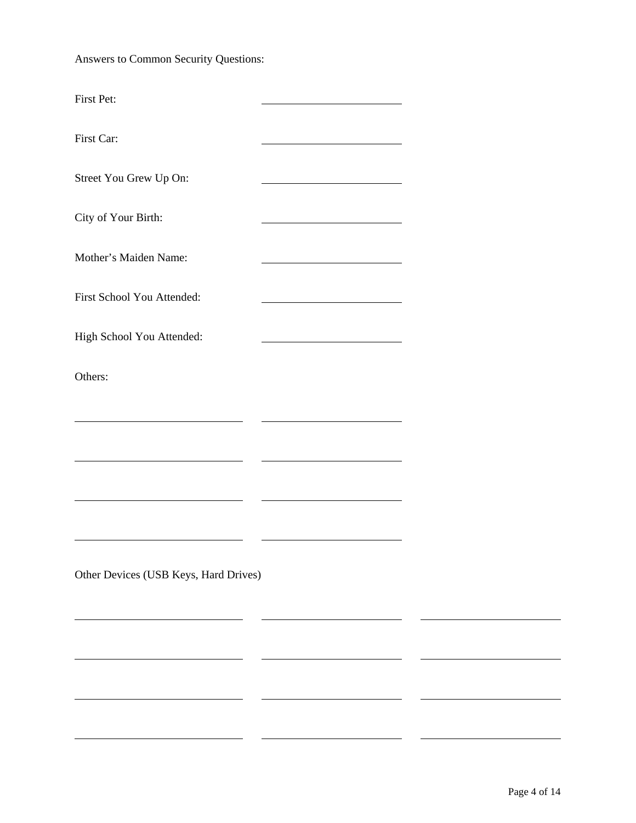Answers to Common Security Questions:

| First Pet:                            |                                                                                                                      |  |
|---------------------------------------|----------------------------------------------------------------------------------------------------------------------|--|
| First Car:                            |                                                                                                                      |  |
| Street You Grew Up On:                |                                                                                                                      |  |
| City of Your Birth:                   |                                                                                                                      |  |
| Mother's Maiden Name:                 | <u> 1980 - Johann Barn, mars ann an t-Amhain Aonaich an t-Aonaich an t-Aonaich ann an t-Aonaich ann an t-Aonaich</u> |  |
| First School You Attended:            |                                                                                                                      |  |
| High School You Attended:             |                                                                                                                      |  |
| Others:                               |                                                                                                                      |  |
|                                       |                                                                                                                      |  |
|                                       |                                                                                                                      |  |
|                                       |                                                                                                                      |  |
|                                       |                                                                                                                      |  |
| Other Devices (USB Keys, Hard Drives) |                                                                                                                      |  |
|                                       |                                                                                                                      |  |
|                                       |                                                                                                                      |  |
|                                       |                                                                                                                      |  |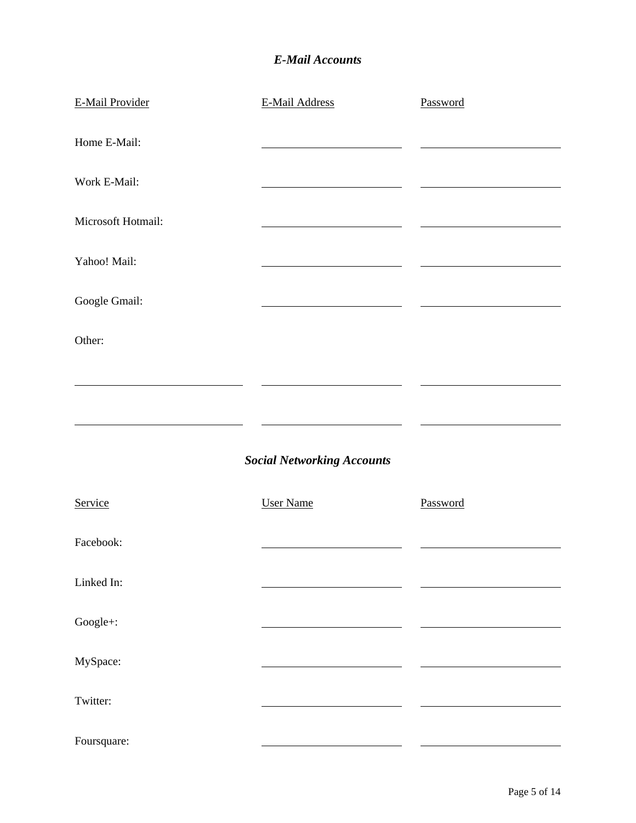### *E-Mail Accounts*

| <b>E-Mail Provider</b> | E-Mail Address                    | Password |
|------------------------|-----------------------------------|----------|
| Home E-Mail:           |                                   |          |
| Work E-Mail:           |                                   |          |
| Microsoft Hotmail:     |                                   |          |
| Yahoo! Mail:           |                                   |          |
| Google Gmail:          |                                   |          |
| Other:                 |                                   |          |
|                        |                                   |          |
|                        |                                   |          |
|                        | <b>Social Networking Accounts</b> |          |
| Service                | <b>User Name</b>                  | Password |
| Facebook:              |                                   |          |
| Linked In:             |                                   |          |
| Google+:               |                                   |          |
| MySpace:               |                                   |          |
| Twitter:               |                                   |          |
| Foursquare:            |                                   |          |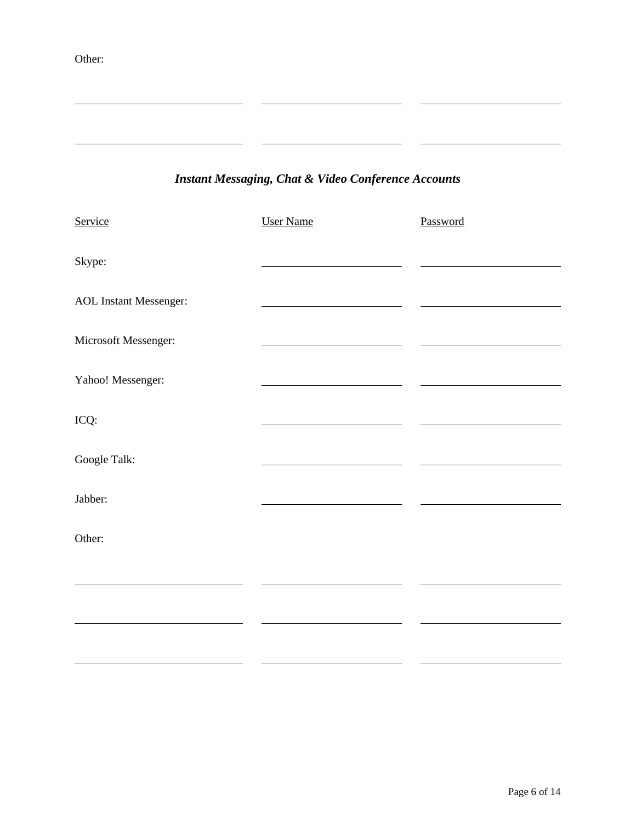Other:

l

## *Instant Messaging, Chat & Video Conference Accounts*

| Service                       | <b>User Name</b> | Password |
|-------------------------------|------------------|----------|
| Skype:                        |                  |          |
| <b>AOL</b> Instant Messenger: |                  |          |
| Microsoft Messenger:          |                  |          |
| Yahoo! Messenger:             |                  |          |
| ICQ:                          |                  |          |
| Google Talk:                  |                  |          |
| Jabber:                       |                  |          |
| Other:                        |                  |          |
|                               |                  |          |
|                               |                  |          |
|                               |                  |          |
|                               |                  |          |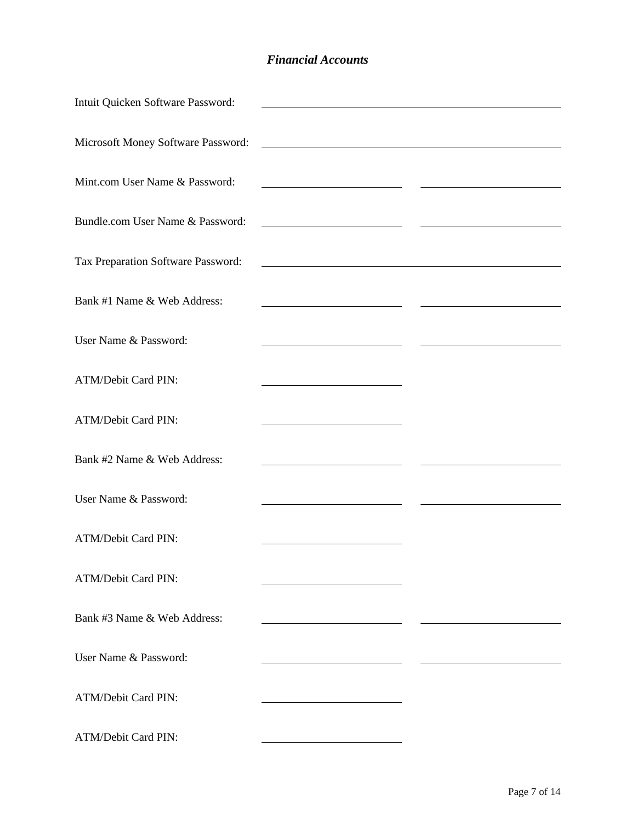#### *Financial Accounts*

| Intuit Quicken Software Password:  |                                                                                                                        |  |
|------------------------------------|------------------------------------------------------------------------------------------------------------------------|--|
|                                    |                                                                                                                        |  |
| Microsoft Money Software Password: | <u> 1989 - Johann Barn, fransk politik fotograf (d. 1989)</u>                                                          |  |
| Mint.com User Name & Password:     |                                                                                                                        |  |
| Bundle.com User Name & Password:   |                                                                                                                        |  |
| Tax Preparation Software Password: | <u> 1989 - Johann Stoff, deutscher Stoffen und der Stoffen und der Stoffen und der Stoffen und der Stoffen und der</u> |  |
|                                    |                                                                                                                        |  |
| Bank #1 Name & Web Address:        | <u> 1980 - John Barn Barn, amerikansk politiker (</u>                                                                  |  |
| User Name & Password:              |                                                                                                                        |  |
|                                    |                                                                                                                        |  |
| <b>ATM/Debit Card PIN:</b>         | <u> 1989 - Johann Barn, mars ann an t-Amhain an t-Amhain an t-Amhain an t-Amhain an t-Amhain an t-Amhain an t-Amh</u>  |  |
| ATM/Debit Card PIN:                |                                                                                                                        |  |
| Bank #2 Name & Web Address:        |                                                                                                                        |  |
| User Name & Password:              |                                                                                                                        |  |
| <b>ATM/Debit Card PIN:</b>         |                                                                                                                        |  |
| <b>ATM/Debit Card PIN:</b>         |                                                                                                                        |  |
|                                    |                                                                                                                        |  |
| Bank #3 Name & Web Address:        |                                                                                                                        |  |
| User Name & Password:              |                                                                                                                        |  |
| ATM/Debit Card PIN:                |                                                                                                                        |  |
|                                    |                                                                                                                        |  |
| ATM/Debit Card PIN:                |                                                                                                                        |  |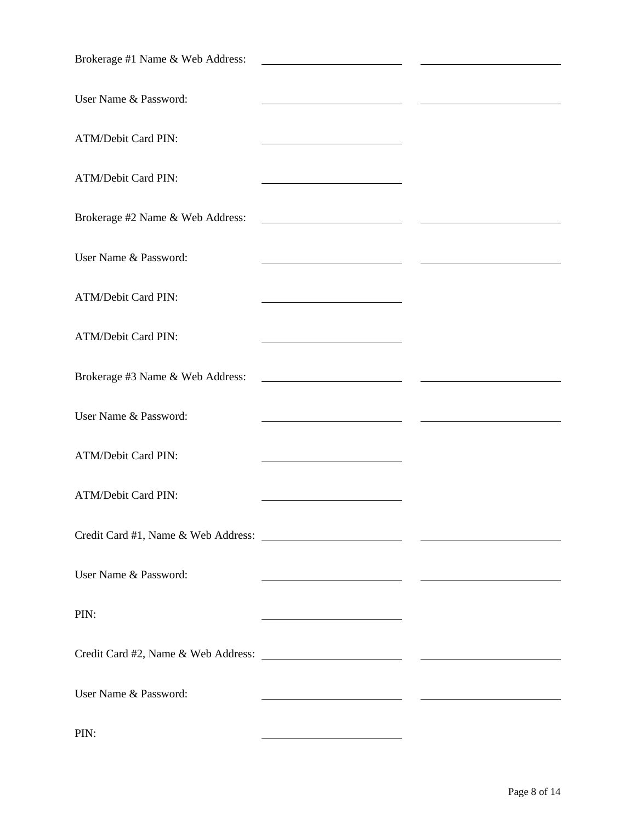| Brokerage #1 Name & Web Address: |                                                                                                                         |  |
|----------------------------------|-------------------------------------------------------------------------------------------------------------------------|--|
| User Name & Password:            |                                                                                                                         |  |
| ATM/Debit Card PIN:              |                                                                                                                         |  |
| ATM/Debit Card PIN:              | <u> 1980 - Johann Barn, mars ann an t-Amhain Aonaich an t-Aonaich an t-Aonaich ann an t-Aonaich ann an t-Aonaich</u>    |  |
| Brokerage #2 Name & Web Address: | <u> 1989 - Johann Barbara, martin a</u>                                                                                 |  |
| User Name & Password:            | <u> 1989 - Johann Barnett, fransk politiker (</u>                                                                       |  |
| ATM/Debit Card PIN:              |                                                                                                                         |  |
| ATM/Debit Card PIN:              |                                                                                                                         |  |
| Brokerage #3 Name & Web Address: | <u> 1989 - Johann Barbara, martin a</u>                                                                                 |  |
| User Name & Password:            |                                                                                                                         |  |
| <b>ATM/Debit Card PIN:</b>       |                                                                                                                         |  |
| ATM/Debit Card PIN:              |                                                                                                                         |  |
|                                  |                                                                                                                         |  |
| User Name & Password:            |                                                                                                                         |  |
| PIN:                             | <u> 1989 - Johann Stoff, deutscher Stoffen und der Stoffen und der Stoffen und der Stoffen und der Stoffen und der </u> |  |
|                                  |                                                                                                                         |  |
| User Name & Password:            |                                                                                                                         |  |
| PIN:                             |                                                                                                                         |  |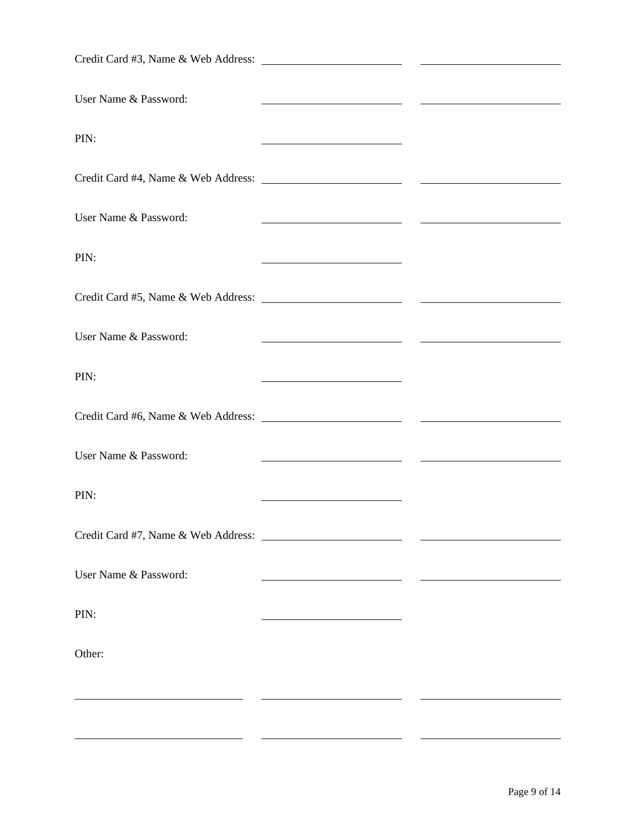| User Name & Password: |                                                                                                                        |  |
|-----------------------|------------------------------------------------------------------------------------------------------------------------|--|
| PIN:                  | <u> 1989 - Johann Stoff, deutscher Stoffen und der Stoffen und der Stoffen und der Stoffen und der Stoffen und der</u> |  |
|                       |                                                                                                                        |  |
| User Name & Password: |                                                                                                                        |  |
| PIN:                  | <u> 1980 - Johann Barn, mars eta bainar eta idazlea (</u>                                                              |  |
|                       |                                                                                                                        |  |
| User Name & Password: | <u> 1989 - Jan Samuel Barbara, político establecido de la propia de la propia de la propia de la propia de la p</u>    |  |
| PIN:                  | <u> 1989 - Johann Barn, mars et al. 1989 - Anna ann an t-Anna ann an t-Anna ann an t-Anna ann an t-Anna ann an t-</u>  |  |
|                       |                                                                                                                        |  |
| User Name & Password: |                                                                                                                        |  |
| PIN:                  | <u> 1989 - Johann Barn, mars an t-Amerikaansk komponist (</u>                                                          |  |
|                       |                                                                                                                        |  |
| User Name & Password: |                                                                                                                        |  |
| PIN:                  |                                                                                                                        |  |
| Other:                |                                                                                                                        |  |
|                       |                                                                                                                        |  |
|                       |                                                                                                                        |  |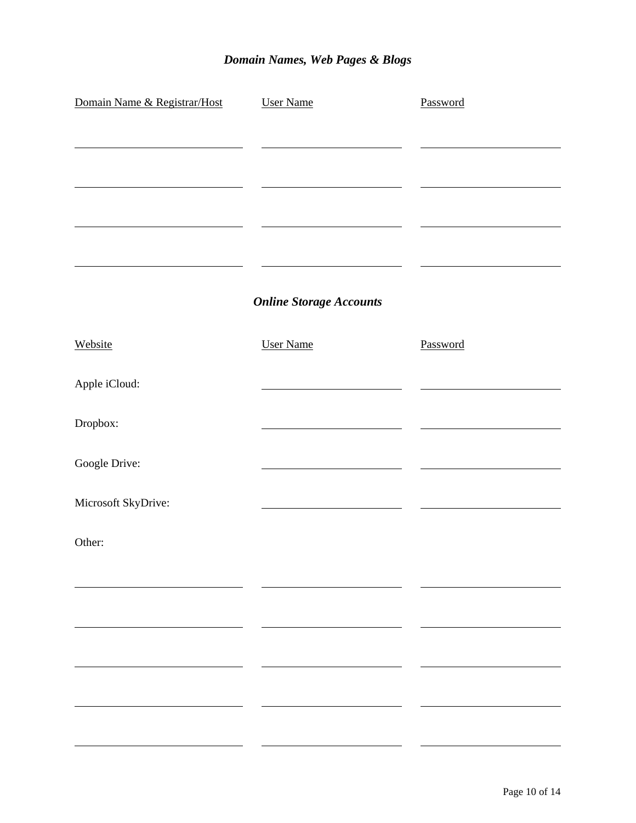## *Domain Names, Web Pages & Blogs*

| Domain Name & Registrar/Host | <b>User Name</b>               | Password |
|------------------------------|--------------------------------|----------|
|                              |                                |          |
|                              |                                |          |
|                              |                                |          |
|                              |                                |          |
|                              | <b>Online Storage Accounts</b> |          |
| Website                      | <b>User Name</b>               | Password |
| Apple iCloud:                |                                |          |
| Dropbox:                     |                                |          |
| Google Drive:                |                                |          |
| Microsoft SkyDrive:          |                                |          |
| Other:                       |                                |          |
|                              |                                |          |
|                              |                                |          |
|                              |                                |          |
|                              |                                |          |
|                              |                                |          |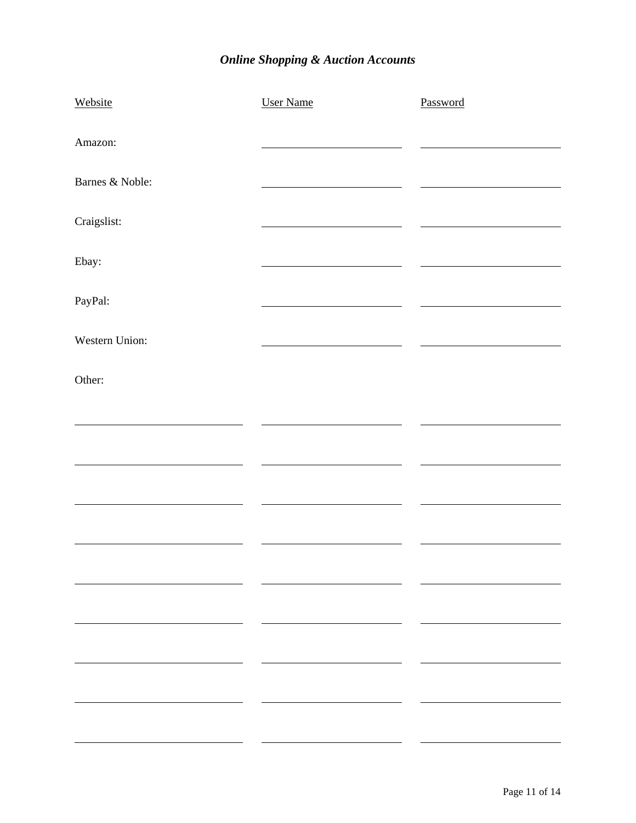## *Online Shopping & Auction Accounts*

| Website                  | <b>User Name</b> | Password |
|--------------------------|------------------|----------|
| Amazon:                  |                  |          |
| Barnes & Noble:          |                  |          |
| Craigslist:              |                  |          |
| Ebay:                    |                  |          |
| PayPal:                  |                  |          |
| Western Union:           |                  |          |
| Other:                   |                  |          |
|                          |                  |          |
|                          |                  |          |
|                          |                  |          |
|                          |                  |          |
|                          |                  |          |
|                          |                  |          |
|                          |                  |          |
| $\overline{\phantom{a}}$ |                  |          |
|                          |                  |          |
|                          |                  |          |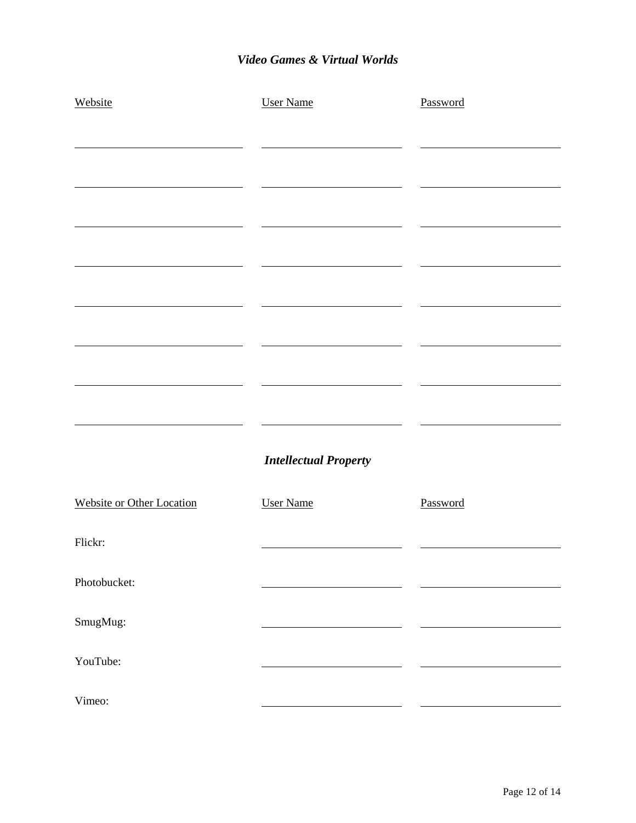#### *Video Games & Virtual Worlds*

| Website                          | <b>User Name</b>             | Password |
|----------------------------------|------------------------------|----------|
|                                  |                              |          |
|                                  |                              |          |
|                                  |                              |          |
|                                  |                              |          |
|                                  |                              |          |
|                                  |                              |          |
|                                  |                              |          |
|                                  |                              |          |
|                                  |                              |          |
|                                  | <b>Intellectual Property</b> |          |
| <b>Website or Other Location</b> | <b>User Name</b>             | Password |
| Flickr:                          |                              |          |
| Photobucket:                     |                              |          |
| SmugMug:                         |                              |          |
| YouTube:                         |                              |          |
| Vimeo:                           |                              |          |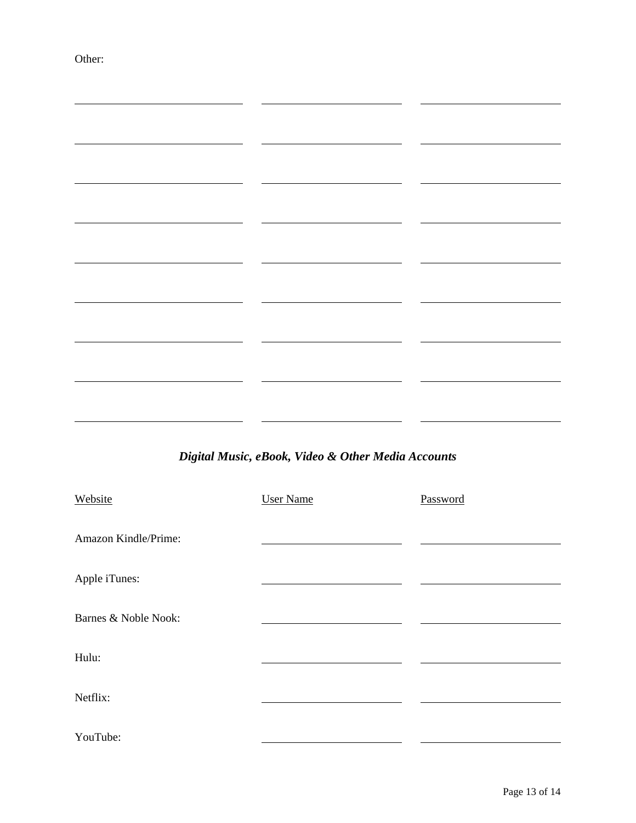Other:

|                      | Digital Music, eBook, Video & Other Media Accounts |          |
|----------------------|----------------------------------------------------|----------|
| Website              | <b>User Name</b>                                   | Password |
| Amazon Kindle/Prime: |                                                    |          |
| Apple iTunes:        |                                                    |          |
| Barnes & Noble Nook: |                                                    |          |
| Hulu:                |                                                    |          |
| Netflix:             |                                                    |          |

YouTube: